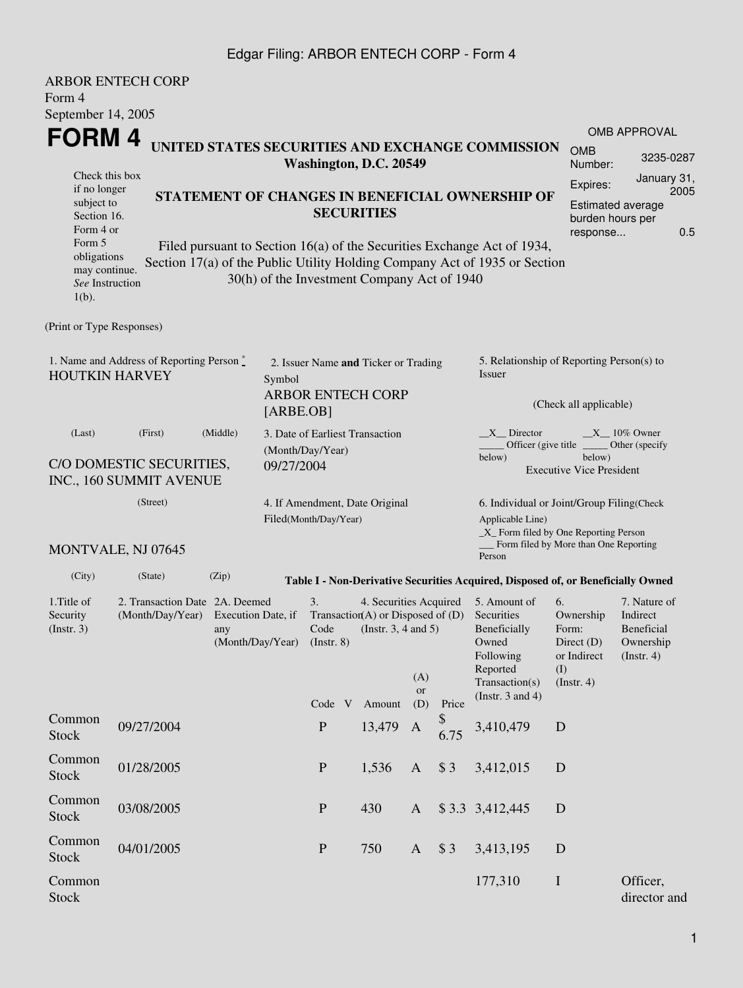## Edgar Filing: ARBOR ENTECH CORP - Form 4

|                                                                                      | <b>ARBOR ENTECH CORP</b>                                                                                                                                                                                                           |       |                                                                                         |                                                                  |                                                         |                                                                                |                                  |                                                                                                                                                           |                   |                                  |  |  |
|--------------------------------------------------------------------------------------|------------------------------------------------------------------------------------------------------------------------------------------------------------------------------------------------------------------------------------|-------|-----------------------------------------------------------------------------------------|------------------------------------------------------------------|---------------------------------------------------------|--------------------------------------------------------------------------------|----------------------------------|-----------------------------------------------------------------------------------------------------------------------------------------------------------|-------------------|----------------------------------|--|--|
| Form 4                                                                               |                                                                                                                                                                                                                                    |       |                                                                                         |                                                                  |                                                         |                                                                                |                                  |                                                                                                                                                           |                   |                                  |  |  |
| September 14, 2005                                                                   |                                                                                                                                                                                                                                    |       |                                                                                         |                                                                  |                                                         |                                                                                |                                  |                                                                                                                                                           |                   |                                  |  |  |
| FORM <sub>4</sub>                                                                    |                                                                                                                                                                                                                                    |       |                                                                                         |                                                                  |                                                         |                                                                                |                                  | UNITED STATES SECURITIES AND EXCHANGE COMMISSION                                                                                                          | <b>OMB</b>        | <b>OMB APPROVAL</b><br>3235-0287 |  |  |
| Check this box                                                                       |                                                                                                                                                                                                                                    |       |                                                                                         | Washington, D.C. 20549                                           |                                                         |                                                                                |                                  |                                                                                                                                                           | Number:           | January 31,                      |  |  |
| if no longer<br>subject to<br>Section 16.<br>Form 4 or<br>Form 5                     |                                                                                                                                                                                                                                    |       | <b>SECURITIES</b>                                                                       |                                                                  | STATEMENT OF CHANGES IN BENEFICIAL OWNERSHIP OF         | Expires:<br>burden hours per<br>response                                       | 2005<br>Estimated average<br>0.5 |                                                                                                                                                           |                   |                                  |  |  |
| obligations<br>may continue.<br>See Instruction<br>$1(b)$ .                          |                                                                                                                                                                                                                                    |       |                                                                                         | 30(h) of the Investment Company Act of 1940                      |                                                         |                                                                                |                                  | Filed pursuant to Section 16(a) of the Securities Exchange Act of 1934,<br>Section 17(a) of the Public Utility Holding Company Act of 1935 or Section     |                   |                                  |  |  |
| (Print or Type Responses)                                                            |                                                                                                                                                                                                                                    |       |                                                                                         |                                                                  |                                                         |                                                                                |                                  |                                                                                                                                                           |                   |                                  |  |  |
| 1. Name and Address of Reporting Person $\degree$<br><b>HOUTKIN HARVEY</b>           |                                                                                                                                                                                                                                    |       | 2. Issuer Name and Ticker or Trading<br>Symbol<br><b>ARBOR ENTECH CORP</b><br>[ARBE.OB] |                                                                  |                                                         |                                                                                |                                  | 5. Relationship of Reporting Person(s) to<br>Issuer<br>(Check all applicable)                                                                             |                   |                                  |  |  |
| (Middle)<br>(Last)<br>(First)<br>C/O DOMESTIC SECURITIES,<br>INC., 160 SUMMIT AVENUE |                                                                                                                                                                                                                                    |       | 3. Date of Earliest Transaction<br>(Month/Day/Year)<br>09/27/2004                       |                                                                  |                                                         |                                                                                |                                  | $X = 10\%$ Owner<br>$X$ Director<br>Officer (give title $\overline{\phantom{a}}$<br>Other (specify<br>below)<br>below)<br><b>Executive Vice President</b> |                   |                                  |  |  |
| (Street)                                                                             |                                                                                                                                                                                                                                    |       | 4. If Amendment, Date Original<br>Filed(Month/Day/Year)                                 |                                                                  |                                                         |                                                                                |                                  | 6. Individual or Joint/Group Filing(Check<br>Applicable Line)<br>_X_ Form filed by One Reporting Person                                                   |                   |                                  |  |  |
|                                                                                      | MONTVALE, NJ 07645                                                                                                                                                                                                                 |       |                                                                                         |                                                                  |                                                         |                                                                                |                                  | Form filed by More than One Reporting<br>Person                                                                                                           |                   |                                  |  |  |
| (City)                                                                               | (State)                                                                                                                                                                                                                            | (Zip) |                                                                                         |                                                                  |                                                         |                                                                                |                                  | Table I - Non-Derivative Securities Acquired, Disposed of, or Beneficially Owned                                                                          |                   |                                  |  |  |
| 1. Title of<br>Security<br>(Insert. 3)                                               | 2. Transaction Date 2A. Deemed<br>3.<br>4. Securities Acquired<br>Transaction(A) or Disposed of $(D)$<br>(Month/Day/Year)<br>Execution Date, if<br>Code<br>(Instr. $3, 4$ and $5$ )<br>any<br>(Month/Day/Year)<br>$($ Instr. 8 $)$ |       |                                                                                         | 5. Amount of<br>Securities<br>Beneficially<br>Owned<br>Following | 6.<br>Ownership<br>Form:<br>Direct $(D)$<br>or Indirect | 7. Nature of<br>Indirect<br><b>Beneficial</b><br>Ownership<br>$($ Instr. 4 $)$ |                                  |                                                                                                                                                           |                   |                                  |  |  |
|                                                                                      |                                                                                                                                                                                                                                    |       |                                                                                         | Code V                                                           | Amount                                                  | (A)<br><b>or</b><br>(D)                                                        | Price                            | Reported<br>Transaction(s)<br>(Instr. $3$ and $4$ )                                                                                                       | (I)<br>(Instr. 4) |                                  |  |  |
| Common<br><b>Stock</b>                                                               | 09/27/2004                                                                                                                                                                                                                         |       |                                                                                         | $\mathbf P$                                                      | 13,479                                                  | A                                                                              | \$<br>6.75                       | 3,410,479                                                                                                                                                 | D                 |                                  |  |  |
| Common<br><b>Stock</b>                                                               | 01/28/2005                                                                                                                                                                                                                         |       |                                                                                         | $\mathbf P$                                                      | 1,536                                                   | $\mathbf{A}$                                                                   | \$3                              | 3,412,015                                                                                                                                                 | D                 |                                  |  |  |
| Common                                                                               | 02/00/2005                                                                                                                                                                                                                         |       |                                                                                         | $\mathbf{D}$                                                     | 120                                                     |                                                                                | ሶ ጎ ጎ                            | 2.412.445                                                                                                                                                 |                   |                                  |  |  |

Stock 03/08/2005 P 430 A \$ 3.3 3,412,445 D Common EUMINON 04/01/2005 P 750 A \$ 3 3,413,195 D<br>Stock 177,310 I Officer,

Common Stock

director and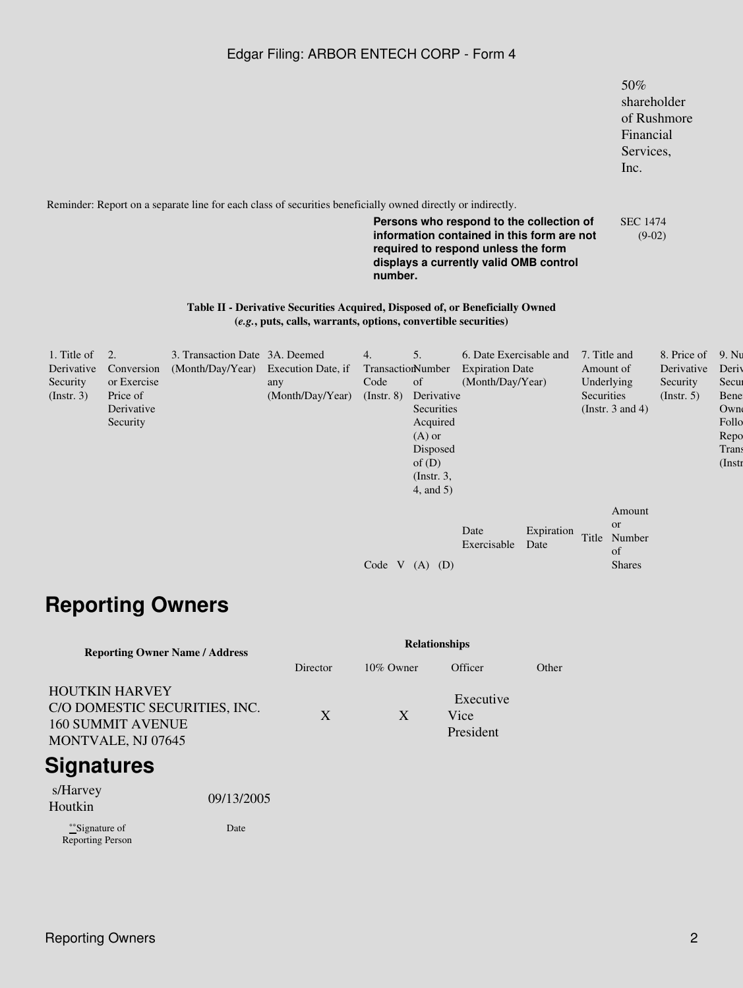## Edgar Filing: ARBOR ENTECH CORP - Form 4

|                                                      |                                                                       |                                                    |                                                                                                                                                 |                                                     |                                                                                                                         |                                                                                                                                                                         |                    |                                                                                | 50%<br>Financial<br>Services,<br>Inc.                      | shareholder<br>of Rushmore                                |                                                                                        |
|------------------------------------------------------|-----------------------------------------------------------------------|----------------------------------------------------|-------------------------------------------------------------------------------------------------------------------------------------------------|-----------------------------------------------------|-------------------------------------------------------------------------------------------------------------------------|-------------------------------------------------------------------------------------------------------------------------------------------------------------------------|--------------------|--------------------------------------------------------------------------------|------------------------------------------------------------|-----------------------------------------------------------|----------------------------------------------------------------------------------------|
|                                                      |                                                                       |                                                    | Reminder: Report on a separate line for each class of securities beneficially owned directly or indirectly.                                     | number.                                             |                                                                                                                         | Persons who respond to the collection of<br>information contained in this form are not<br>required to respond unless the form<br>displays a currently valid OMB control |                    |                                                                                | <b>SEC 1474</b><br>$(9-02)$                                |                                                           |                                                                                        |
|                                                      |                                                                       |                                                    | Table II - Derivative Securities Acquired, Disposed of, or Beneficially Owned<br>(e.g., puts, calls, warrants, options, convertible securities) |                                                     |                                                                                                                         |                                                                                                                                                                         |                    |                                                                                |                                                            |                                                           |                                                                                        |
| 1. Title of<br>Derivative<br>Security<br>(Insert. 3) | 2.<br>Conversion<br>or Exercise<br>Price of<br>Derivative<br>Security | 3. Transaction Date 3A. Deemed<br>(Month/Day/Year) | Execution Date, if<br>any<br>(Month/Day/Year)                                                                                                   | 4.<br>TransactionNumber<br>Code<br>$($ Instr. 8 $)$ | 5.<br>of<br>Derivative<br>Securities<br>Acquired<br>$(A)$ or<br>Disposed<br>of(D)<br>$($ Instr. $3,$<br>$4$ , and $5$ ) | 6. Date Exercisable and<br><b>Expiration Date</b><br>(Month/Day/Year)                                                                                                   |                    | 7. Title and<br>Amount of<br>Underlying<br>Securities<br>(Instr. $3$ and $4$ ) |                                                            | 8. Price of<br>Derivative<br>Security<br>$($ Instr. 5 $)$ | 9. N <sub>u</sub><br>Deriv<br>Secur<br>Bene<br>Own<br>Follo<br>Repo<br>Trans<br>(Instr |
|                                                      |                                                                       |                                                    |                                                                                                                                                 |                                                     | Code $V(A)$ (D)                                                                                                         | Date<br>Exercisable                                                                                                                                                     | Expiration<br>Date |                                                                                | Amount<br><b>or</b><br>Title Number<br>of<br><b>Shares</b> |                                                           |                                                                                        |
|                                                      | <b>Reporting Owners</b>                                               |                                                    |                                                                                                                                                 |                                                     |                                                                                                                         |                                                                                                                                                                         |                    |                                                                                |                                                            |                                                           |                                                                                        |
|                                                      |                                                                       | <b>Reporting Owner Name / Address</b>              |                                                                                                                                                 |                                                     | <b>Relationships</b>                                                                                                    |                                                                                                                                                                         |                    |                                                                                |                                                            |                                                           |                                                                                        |
|                                                      |                                                                       |                                                    | Director                                                                                                                                        | 10% Owner                                           |                                                                                                                         | Officer                                                                                                                                                                 | Other              |                                                                                |                                                            |                                                           |                                                                                        |
|                                                      | HOUTKIN HARVEY<br><b>160 SUMMIT AVENUE</b><br>MONTVALE, NJ 07645      | C/O DOMESTIC SECURITIES, INC.                      | X                                                                                                                                               | X                                                   |                                                                                                                         | Executive<br>Vice<br>President                                                                                                                                          |                    |                                                                                |                                                            |                                                           |                                                                                        |
|                                                      |                                                                       |                                                    |                                                                                                                                                 |                                                     |                                                                                                                         |                                                                                                                                                                         |                    |                                                                                |                                                            |                                                           |                                                                                        |

## **Signatures**

| s/Harvey<br>Houtkin                               | 09/13/2005 |  |  |  |  |  |
|---------------------------------------------------|------------|--|--|--|--|--|
| ** <i>Signature</i> of<br><b>Reporting Person</b> | Date       |  |  |  |  |  |